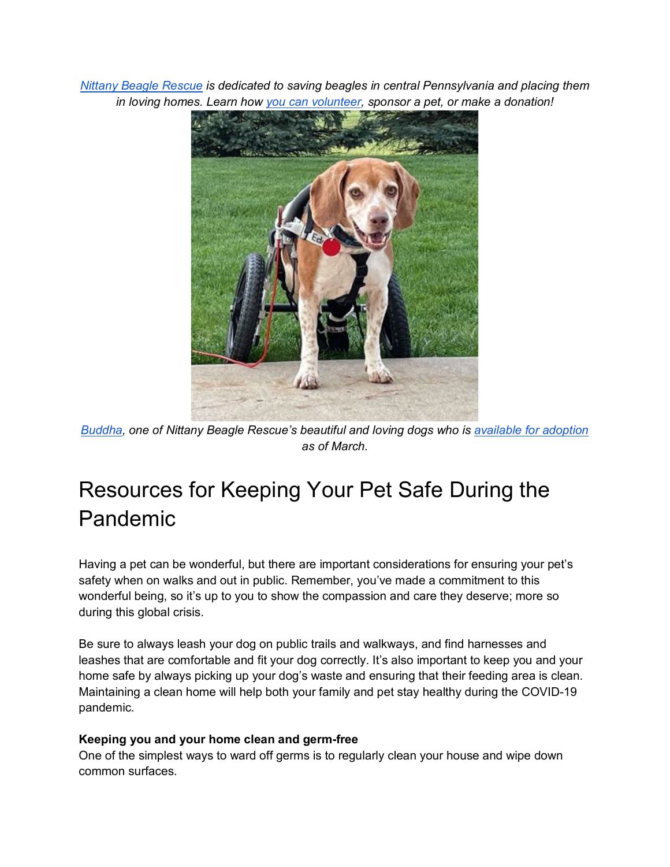*[Nittany Beagle Rescue](https://nittanybeaglerescue.org/home.cfm) is dedicated to saving beagles in central Pennsylvania and placing them in loving homes. Learn how [you can volunteer,](https://nittanybeaglerescue.org/help.cfm) sponsor a pet, or make a donation!*



*[Buddha,](https://nittanybeaglerescue.org/beagle.cfm?dogID=1625) one of Nittany Beagle Rescue's beautiful and loving dogs who is [available for adoption](https://nittanybeaglerescue.org/our_beagles.cfm) as of March.*

## Resources for Keeping Your Pet Safe During the Pandemic

Having a pet can be wonderful, but there are important considerations for ensuring your pet's safety when on walks and out in public. Remember, you've made a commitment to this wonderful being, so it's up to you to show the compassion and care they deserve; more so during this global crisis.

Be sure to always leash your dog on public trails and walkways, and find harnesses and leashes that are comfortable and fit your dog correctly. It's also important to keep you and your home safe by always picking up your dog's waste and ensuring that their feeding area is clean. Maintaining a clean home will help both your family and pet stay healthy during the COVID-19 pandemic.

## **Keeping you and your home clean and germ-free**

One of the simplest ways to ward off germs is to regularly clean your house and wipe down common surfaces.